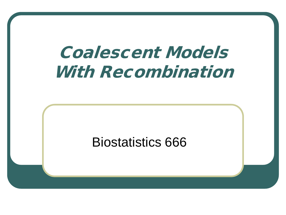# Coalescent Models With Recombination

#### Biostatistics 666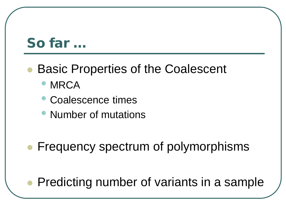### So far …

#### Basic Properties of the Coalescent

- MRCA
- Coalescence times
- Number of mutations
- Frequency spectrum of polymorphisms

Predicting number of variants in a sample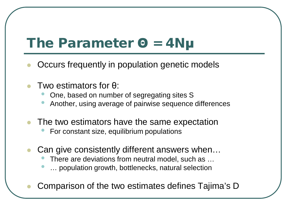### The Parameter Θ = 4Nμ

- Occurs frequently in population genetic models
- Two estimators for θ:
	- One, based on number of segregating sites S
	- Another, using average of pairwise sequence differences
- The two estimators have the same expectation
	- For constant size, equilibrium populations
- Can give consistently different answers when…
	- There are deviations from neutral model, such as ...
	- ... population growth, bottlenecks, natural selection
- Comparison of the two estimates defines Tajima's D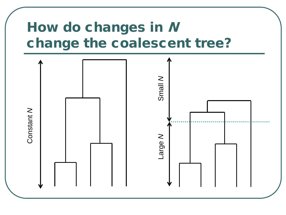### How do changes in N change the coalescent tree?

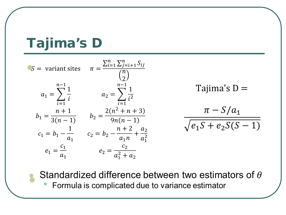### Tajima's D

 $\bullet$ 

| $S =$ variant sites                                     | $\pi = \frac{\sum_{i=1}^{n} \sum_{j=i+1}^{n} S_{ij}}{n}$  |                           |
|---------------------------------------------------------|-----------------------------------------------------------|---------------------------|
| $n-1$<br>$a_1 = \sum_{i=1}^{1} a_i$<br>$\overline{i=1}$ | $n - 1$<br>$a_2 = \sum \frac{1}{i^2}$<br>$\overline{i=1}$ | Tajima's $D =$            |
| $b_1 = \frac{n+1}{3(n-1)}$                              | $b_2 = \frac{2(n^2 + n + 3)}{9n(n-1)}$                    | $\pi - S/a_1$             |
| $c_1 = b_1 - \frac{1}{b_1}$                             | $c_2 = b_2 - \frac{n+2}{a_1 n} + \frac{a_2}{a_1^2}$       | $\sqrt{e_1S} + e_2S(S-1)$ |
| $e_1 = \frac{-1}{a}$                                    | $e_2 = \frac{c_2}{a_1^2 + a_2}$                           |                           |

Standardized difference between two estimators of  $\theta$ 

Formula is complicated due to variance estimator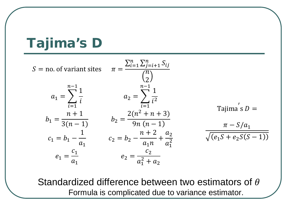### Tajima's D

$$
S = \text{no. of variant sites} \qquad \pi = \frac{\sum_{i=1}^{n} \sum_{j=i+1}^{n} S_{ij}}{\binom{n}{2}}
$$
\n
$$
a_1 = \sum_{i=1}^{n-1} \frac{1}{i} \qquad a_2 = \sum_{i=1}^{n-1} \frac{1}{i^2}
$$
\n
$$
b_1 = \frac{n+1}{3(n-1)} \qquad b_2 = \frac{2(n^2+n+3)}{9n(n-1)} \qquad a_1 = \frac{n-5/a_1}{\sqrt{16n+1}} \qquad b_2 = \frac{n+2}{9n(n-1)} \qquad b_1 = \frac{n-5/a_1}{\sqrt{16n+1}} \qquad c_2 = b_2 - \frac{n+2}{a_1n} + \frac{a_2}{a_1^2}
$$
\n
$$
e_1 = \frac{c_1}{a_1} \qquad e_2 = \frac{c_2}{a_1^2 + a_2}
$$

Standardized difference between two estimators of  $\theta$ Formula is complicated due to variance estimator.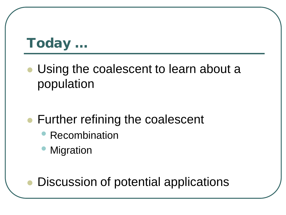### Today …

- Using the coalescent to learn about a population
- Further refining the coalescent
	- **Recombination**
	- **Migration**

Discussion of potential applications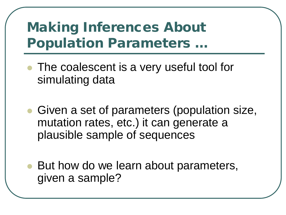- The coalescent is a very useful tool for simulating data
- Given a set of parameters (population size, mutation rates, etc.) it can generate a plausible sample of sequences
- But how do we learn about parameters, given a sample?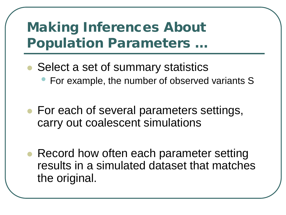- Select a set of summary statistics
	- For example, the number of observed variants S
- For each of several parameters settings, carry out coalescent simulations
- Record how often each parameter setting results in a simulated dataset that matches the original.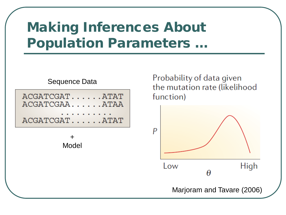

Probability of data given the mutation rate (likelihood function)

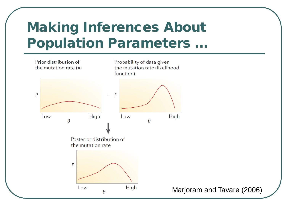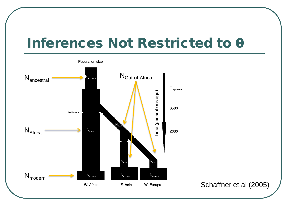### Inferences Not Restricted to θ

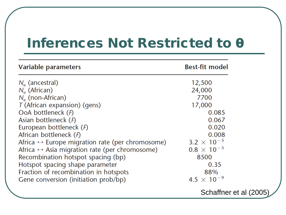#### Inferences Not Restricted to θ

| Variable parameters                                             | <b>Best-fit model</b>         |
|-----------------------------------------------------------------|-------------------------------|
| $N_{\rm e}$ (ancestral)                                         | 12,500                        |
| $N_e$ (African)                                                 | 24,000                        |
| $N_e$ (non-African)                                             | 7700                          |
| T (African expansion) (gens)                                    | 17,000                        |
| OoA bottleneck (F)                                              | 0.085                         |
| Asian bottleneck $(F)$                                          | 0.067                         |
| European bottleneck $(F)$                                       | 0.020                         |
| African bottleneck $(F)$                                        | 0.008                         |
| Africa $\leftrightarrow$ Europe migration rate (per chromosome) | 3.2 $\times$ 10 <sup>-5</sup> |
| Africa $\leftrightarrow$ Asia migration rate (per chromosome)   | $0.8 \times 10^{-5}$          |
| Recombination hotspot spacing (bp)                              | 8500                          |
| Hotspot spacing shape parameter                                 | 0.35                          |
| Fraction of recombination in hotspots                           | 88%                           |
| Gene conversion (initiation prob/bp)                            | 4.5 $\times$ 10 <sup>-9</sup> |
|                                                                 | Schaffner et al (2005)        |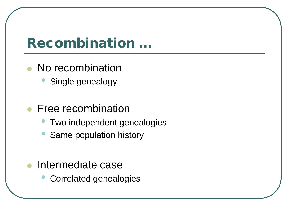#### Recombination …

- No recombination
	- Single genealogy
- Free recombination
	- Two independent genealogies
	- Same population history
- Intermediate case
	- Correlated genealogies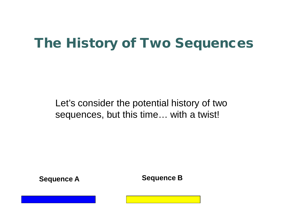Let's consider the potential history of two sequences, but this time… with a twist!

**Sequence A Sequence B**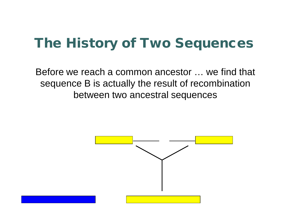Before we reach a common ancestor … we find that sequence B is actually the result of recombination between two ancestral sequences

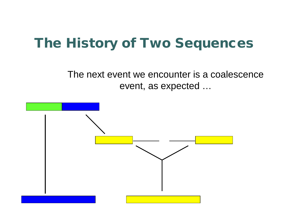The next event we encounter is a coalescence event, as expected …

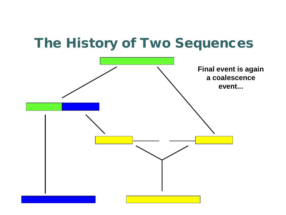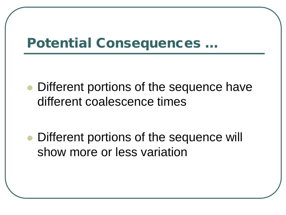### Potential Consequences …

• Different portions of the sequence have different coalescence times

 Different portions of the sequence will show more or less variation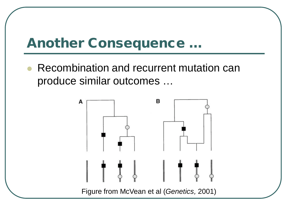### Another Consequence …

 Recombination and recurrent mutation can produce similar outcomes …

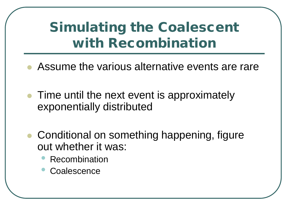### Simulating the Coalescent with Recombination

- Assume the various alternative events are rare
- Time until the next event is approximately exponentially distributed
- Conditional on something happening, figure out whether it was:
	- **Recombination**
	- **Coalescence**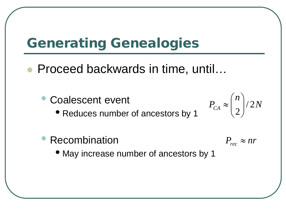### Generating Genealogies

- Proceed backwards in time, until…
	- Coalescent event

• Reduces number of ancestors by 1

• Recombination

 $P_{rec} \approx nr$ 

*n*

 $\left.\rule{0pt}{10pt}\right.$ 

 $\int$ 

 $P_{CA} \approx \left(\frac{1}{2}\right)/2$ 

 $\approx$ 

 $\overline{\phantom{a}}$  $\overline{\phantom{a}}$ 

 $\bigg($ 

 $\setminus$ 

*N*

• May increase number of ancestors by 1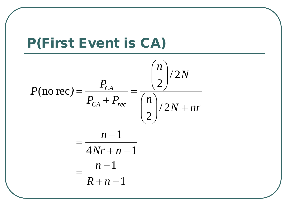

$$
P(\text{no rec}) = \frac{P_{CA}}{P_{CA} + P_{rec}} = \frac{{\binom{n}{2}}}{2} / 2N
$$

$$
= \frac{n-1}{4Nr + n-1}
$$

$$
= \frac{n-1}{2r}
$$

$$
R+n-1
$$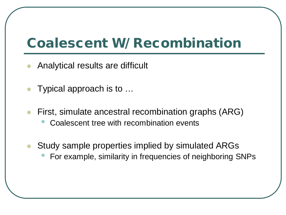### Coalescent W/ Recombination

- Analytical results are difficult
- Typical approach is to …
- First, simulate ancestral recombination graphs (ARG) • Coalescent tree with recombination events
- Study sample properties implied by simulated ARGs
	- For example, similarity in frequencies of neighboring SNPs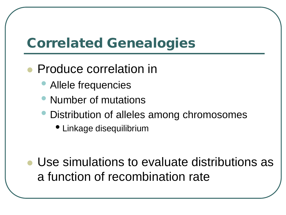### Correlated Genealogies

#### Produce correlation in

- Allele frequencies
- Number of mutations
- Distribution of alleles among chromosomes
	- Linkage disequilibrium
- Use simulations to evaluate distributions as a function of recombination rate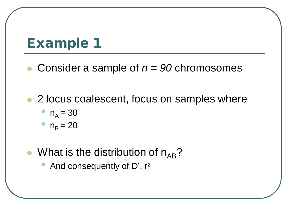#### Example 1

- Consider a sample of *n = 90* chromosomes
- 2 locus coalescent, focus on samples where

$$
n_A = 30
$$

$$
n_{\rm B} = 20
$$

- What is the distribution of  $n_{AR}$ ?
	- And consequently of D', r<sup>2</sup>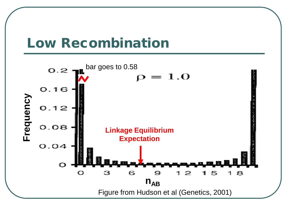

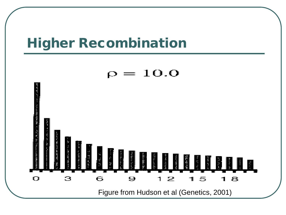#### Higher Recombination

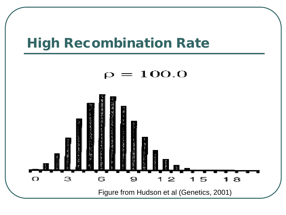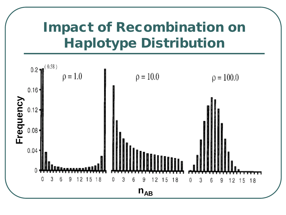### Impact of Recombination on Haplotype Distribution

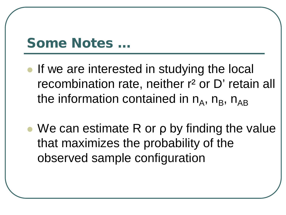#### Some Notes …

- If we are interested in studying the local recombination rate, neither r<sup>2</sup> or D' retain all the information contained in  $n_A$ ,  $n_B$ ,  $n_{AB}$
- We can estimate R or ρ by finding the value that maximizes the probability of the observed sample configuration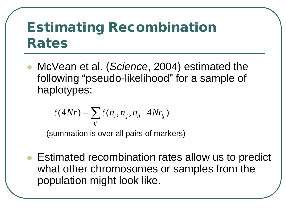### Estimating Recombination Rates

 McVean et al. (*Science*, 2004) estimated the following "pseudo-likelihood" for a sample of haplotypes:

$$
\ell(4Nr) = \sum_{ij} \ell(n_i, n_j, n_{ij} | 4Nr_{ij})
$$

(summation is over all pairs of markers)

 Estimated recombination rates allow us to predict what other chromosomes or samples from the population might look like.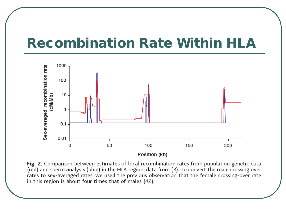#### Recombination Rate Within HLA



Fig. 2. Comparison between estimates of local recombination rates from population genetic data (red) and sperm analysis (blue) in the HLA region; data from (3). To convert the male crossing over rates to sex-averaged rates, we used the previous observation that the female crossing-over rate in this region is about four times that of males  $(42)$ .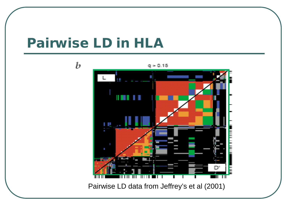#### Pairwise LD in HLA



Pairwise LD data from Jeffrey's et al (2001)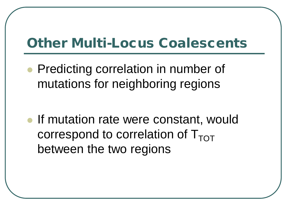### Other Multi-Locus Coalescents

• Predicting correlation in number of mutations for neighboring regions

• If mutation rate were constant, would correspond to correlation of  $T_{TOT}$ between the two regions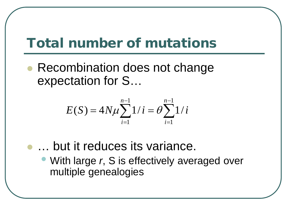### Total number of mutations

 Recombination does not change expectation for S…

$$
E(S) = 4N\mu \sum_{i=1}^{n-1} 1/i = \theta \sum_{i=1}^{n-1} 1/i
$$

- … but it reduces its variance.
	- With large *r*, S is effectively averaged over multiple genealogies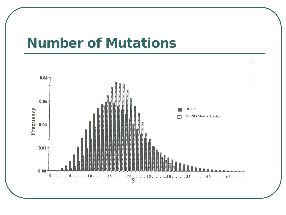#### Number of Mutations

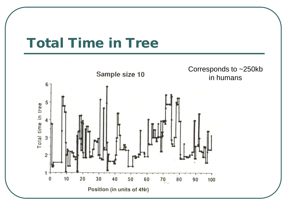#### Total Time in Tree

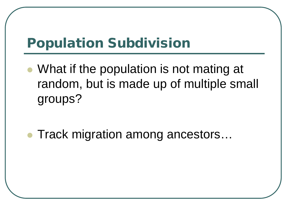### Population Subdivision

- What if the population is not mating at random, but is made up of multiple small groups?
- Track migration among ancestors...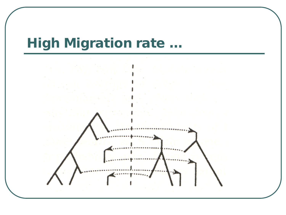## High Migration rate …

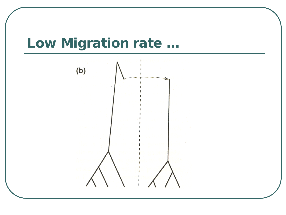### Low Migration rate …

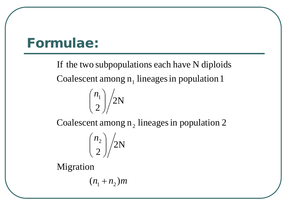#### Formulae:

Coalescent among  $n_1$  lineages in population 1 If the two subpopulations each have N diploids



Coalescent among  $n_2$  lineages in population 2

$$
\binom{n_2}{2}/2N
$$

Migration

 $(n_1 + n_2)m$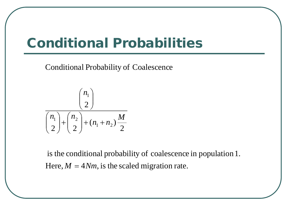#### Conditional Probabilities

Conditional Probability of Coalescence

$$
\frac{\binom{n_1}{2}}{\binom{n_1}{2} + \binom{n_2}{2} + (n_1 + n_2) \frac{M}{2}}
$$

Here,  $M = 4Nm$ , is the scaled migration rate. is the conditional probability of coalescence in population1.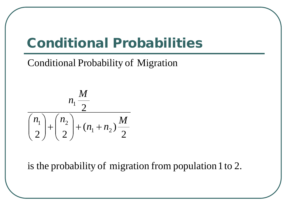### Conditional Probabilities

Conditional Probability of Migration



is the probability of migration from population 1 to 2.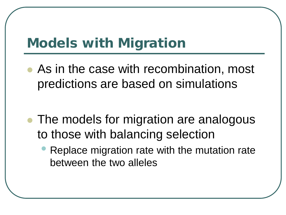### Models with Migration

 As in the case with recombination, most predictions are based on simulations

- The models for migration are analogous to those with balancing selection
	- Replace migration rate with the mutation rate between the two alleles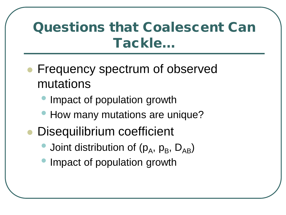### Questions that Coalescent Can Tackle…

- Frequency spectrum of observed mutations
	- Impact of population growth
	- How many mutations are unique?
- Disequilibrium coefficient
	- Joint distribution of  $(p_A, p_B, D_{AB})$
	- Impact of population growth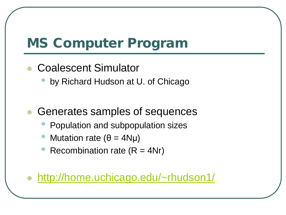### MS Computer Program

- Coalescent Simulator
	- by Richard Hudson at U. of Chicago
- Generates samples of sequences
	- Population and subpopulation sizes
	- Mutation rate ( $θ = 4Nμ$ )
	- Recombination rate  $(R = 4Nr)$

#### <http://home.uchicago.edu/~rhudson1/>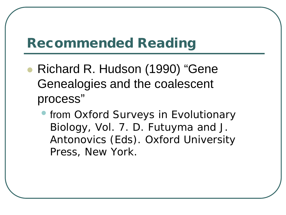### Recommended Reading

- Richard R. Hudson (1990) "Gene Genealogies and the coalescent process"
	- from Oxford Surveys in Evolutionary Biology, Vol. 7. D. Futuyma and J. Antonovics (Eds). Oxford University Press, New York.